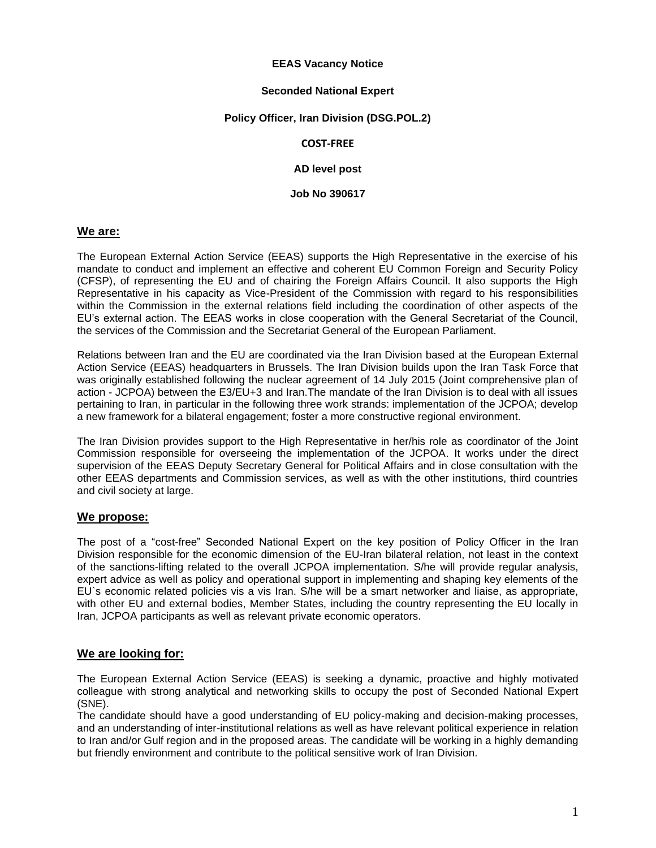#### **EEAS Vacancy Notice**

#### **Seconded National Expert**

#### **Policy Officer, Iran Division (DSG.POL.2)**

#### **COST-FREE**

**AD level post**

**Job No 390617**

#### **We are:**

The European External Action Service (EEAS) supports the High Representative in the exercise of his mandate to conduct and implement an effective and coherent EU Common Foreign and Security Policy (CFSP), of representing the EU and of chairing the Foreign Affairs Council. It also supports the High Representative in his capacity as Vice-President of the Commission with regard to his responsibilities within the Commission in the external relations field including the coordination of other aspects of the EU's external action. The EEAS works in close cooperation with the General Secretariat of the Council, the services of the Commission and the Secretariat General of the European Parliament.

Relations between Iran and the EU are coordinated via the Iran Division based at the European External Action Service (EEAS) headquarters in Brussels. The Iran Division builds upon the Iran Task Force that was originally established following the nuclear agreement of 14 July 2015 (Joint comprehensive plan of action - JCPOA) between the E3/EU+3 and Iran.The mandate of the Iran Division is to deal with all issues pertaining to Iran, in particular in the following three work strands: implementation of the JCPOA; develop a new framework for a bilateral engagement; foster a more constructive regional environment.

The Iran Division provides support to the High Representative in her/his role as coordinator of the Joint Commission responsible for overseeing the implementation of the JCPOA. It works under the direct supervision of the EEAS Deputy Secretary General for Political Affairs and in close consultation with the other EEAS departments and Commission services, as well as with the other institutions, third countries and civil society at large.

## **We propose:**

The post of a "cost-free" Seconded National Expert on the key position of Policy Officer in the Iran Division responsible for the economic dimension of the EU-Iran bilateral relation, not least in the context of the sanctions-lifting related to the overall JCPOA implementation. S/he will provide regular analysis, expert advice as well as policy and operational support in implementing and shaping key elements of the EU`s economic related policies vis a vis Iran. S/he will be a smart networker and liaise, as appropriate, with other EU and external bodies, Member States, including the country representing the EU locally in Iran, JCPOA participants as well as relevant private economic operators.

## **We are looking for:**

The European External Action Service (EEAS) is seeking a dynamic, proactive and highly motivated colleague with strong analytical and networking skills to occupy the post of Seconded National Expert (SNE).

The candidate should have a good understanding of EU policy-making and decision-making processes, and an understanding of inter-institutional relations as well as have relevant political experience in relation to Iran and/or Gulf region and in the proposed areas. The candidate will be working in a highly demanding but friendly environment and contribute to the political sensitive work of Iran Division.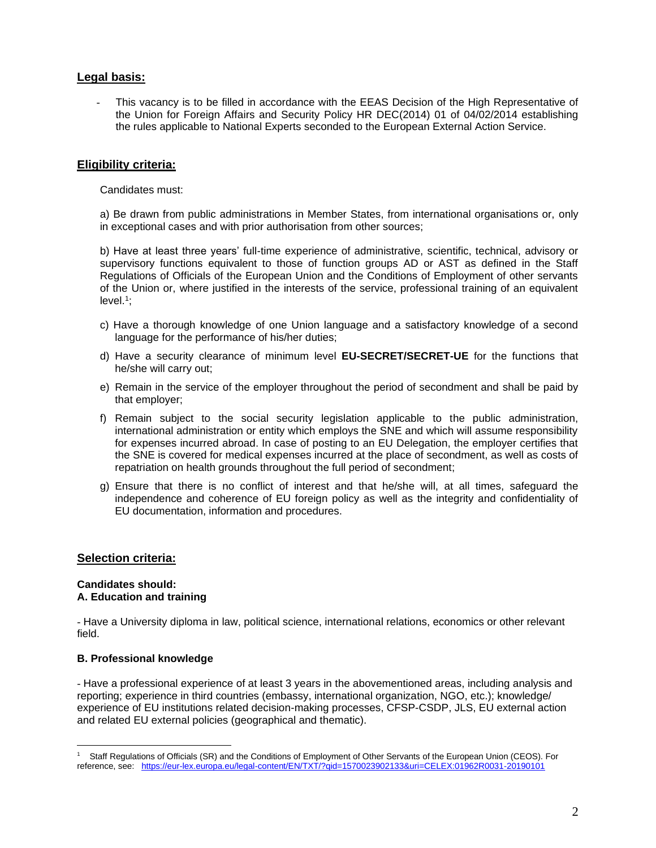# **Legal basis:**

- This vacancy is to be filled in accordance with the EEAS Decision of the High Representative of the Union for Foreign Affairs and Security Policy HR DEC(2014) 01 of 04/02/2014 establishing the rules applicable to National Experts seconded to the European External Action Service.

## **Eligibility criteria:**

Candidates must:

a) Be drawn from public administrations in Member States, from international organisations or, only in exceptional cases and with prior authorisation from other sources;

b) Have at least three years' full-time experience of administrative, scientific, technical, advisory or supervisory functions equivalent to those of function groups AD or AST as defined in the Staff Regulations of Officials of the European Union and the Conditions of Employment of other servants of the Union or, where justified in the interests of the service, professional training of an equivalent level. 1 ;

- c) Have a thorough knowledge of one Union language and a satisfactory knowledge of a second language for the performance of his/her duties;
- d) Have a security clearance of minimum level **EU-SECRET/SECRET-UE** for the functions that he/she will carry out;
- e) Remain in the service of the employer throughout the period of secondment and shall be paid by that employer;
- f) Remain subject to the social security legislation applicable to the public administration, international administration or entity which employs the SNE and which will assume responsibility for expenses incurred abroad. In case of posting to an EU Delegation, the employer certifies that the SNE is covered for medical expenses incurred at the place of secondment, as well as costs of repatriation on health grounds throughout the full period of secondment;
- g) Ensure that there is no conflict of interest and that he/she will, at all times, safeguard the independence and coherence of EU foreign policy as well as the integrity and confidentiality of EU documentation, information and procedures.

## **Selection criteria:**

#### **Candidates should: A. Education and training**

- Have a University diploma in law, political science, international relations, economics or other relevant field.

## **B. Professional knowledge**

- Have a professional experience of at least 3 years in the abovementioned areas, including analysis and reporting; experience in third countries (embassy, international organization, NGO, etc.); knowledge/ experience of EU institutions related decision-making processes, CFSP-CSDP, JLS, EU external action and related EU external policies (geographical and thematic).

<sup>1</sup> Staff Regulations of Officials (SR) and the Conditions of Employment of Other Servants of the European Union (CEOS). For reference, see: <https://eur-lex.europa.eu/legal-content/EN/TXT/?qid=1570023902133&uri=CELEX:01962R0031-20190101>